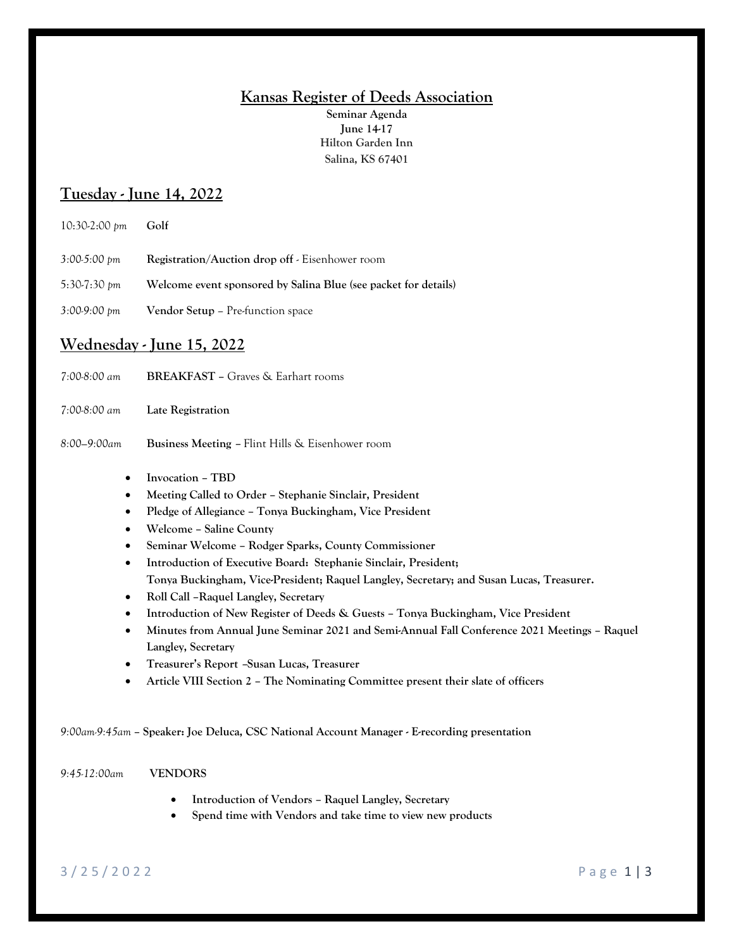### **Kansas Register of Deeds Association**

**Seminar Agenda June 14-17 Hilton Garden Inn Salina, KS 67401**

# **Tuesday - June 14, 2022**

| $10:30-2:00 \text{ pm}$  | Golf                                                            |
|--------------------------|-----------------------------------------------------------------|
| $3:00-5:00$ pm           | <b>Registration/Auction drop off</b> - Eisenhower room          |
| 5:30-7:30 pm             | Welcome event sponsored by Salina Blue (see packet for details) |
| $3:00.9:00 \, \text{pm}$ | <b>Vendor Setup – Pre-function space</b>                        |

# **Wednesday - June 15, 2022**

| 7:00-8:00 am                                     | <b>BREAKFAST</b> – Graves & Earhart rooms                                                                                                                                |
|--------------------------------------------------|--------------------------------------------------------------------------------------------------------------------------------------------------------------------------|
| 7:00-8:00 am                                     | Late Registration                                                                                                                                                        |
| 8:00–9:00am                                      | <b>Business Meeting – Flint Hills &amp; Eisenhower room</b>                                                                                                              |
| $\bullet$<br>$\bullet$<br>$\bullet$<br>$\bullet$ | Invocation - TBD<br>Meeting Called to Order – Stephanie Sinclair, President<br>Pledge of Allegiance - Tonya Buckingham, Vice President<br><b>Welcome - Saline County</b> |

- **Seminar Welcome – Rodger Sparks, County Commissioner**
- **Introduction of Executive Board: Stephanie Sinclair, President; Tonya Buckingham, Vice-President; Raquel Langley, Secretary; and Susan Lucas, Treasurer.**
- **Roll Call –Raquel Langley, Secretary**
- **Introduction of New Register of Deeds & Guests – Tonya Buckingham, Vice President**
- **Minutes from Annual June Seminar 2021 and Semi-Annual Fall Conference 2021 Meetings – Raquel Langley, Secretary**
- **Treasurer's Report –Susan Lucas, Treasurer**
- **Article VIII Section 2 – The Nominating Committee present their slate of officers**

*9:00am-9:45am* **– Speaker: Joe Deluca, CSC National Account Manager - E-recording presentation**

#### *9:45-12:00am* **VENDORS**

- **Introduction of Vendors – Raquel Langley, Secretary**
- **Spend time with Vendors and take time to view new products**

### 3 / 2 5 / 2 0 2 2 P a g e 1 | 3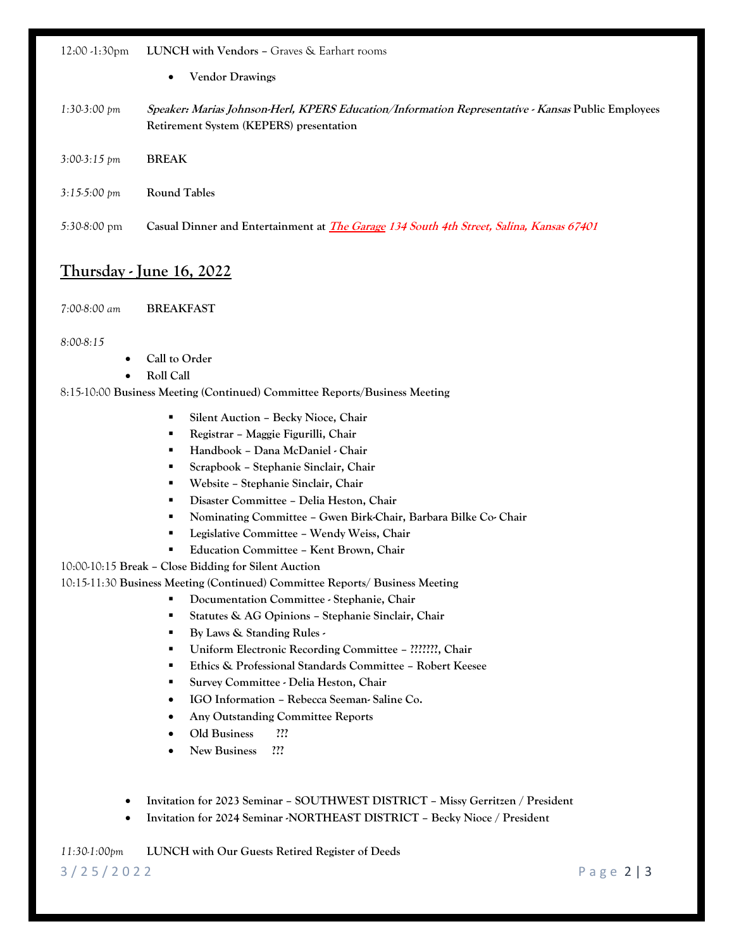#### 12:00 -1:30pm **LUNCH with Vendors –** Graves & Earhart rooms

- **Vendor Drawings**
- *1:30-3:00 pm* **Speaker: Marias Johnson-Herl, KPERS Education/Information Representative - Kansas Public Employees Retirement System (KEPERS) presentation**
- *3:00-3:15 pm* **BREAK**
- *3:15-5:00 pm* **Round Tables**
- *5:30-8:00* pm **Casual Dinner and Entertainment at The Garage 134 South 4th Street, Salina, Kansas 67401**

### **Thursday - June 16, 2022**

*7:00-8:00 am* **BREAKFAST**

#### *8:00-8:15*

- **Call to Order**
- **Roll Call**

#### 8:15-10:00 **Business Meeting (Continued) Committee Reports/Business Meeting**

- **Silent Auction – Becky Nioce, Chair**
- **Registrar – Maggie Figurilli, Chair**
- **Handbook – Dana McDaniel - Chair**
- **Scrapbook – Stephanie Sinclair, Chair**
- **Website – Stephanie Sinclair, Chair**
- **Disaster Committee – Delia Heston, Chair**
- **Nominating Committee – Gwen Birk-Chair, Barbara Bilke Co- Chair**
- **Legislative Committee – Wendy Weiss, Chair**
- **Education Committee – Kent Brown, Chair**

10:00-10:15 **Break – Close Bidding for Silent Auction**

10:15-11:30 **Business Meeting (Continued) Committee Reports/ Business Meeting**

- **Documentation Committee - Stephanie, Chair**
- **Statutes & AG Opinions – Stephanie Sinclair, Chair**
- **By Laws & Standing Rules -**
- **Uniform Electronic Recording Committee – ???????, Chair**
- **Ethics & Professional Standards Committee – Robert Keesee**
- **Survey Committee - Delia Heston, Chair**
- **IGO Information – Rebecca Seeman- Saline Co.**
- **Any Outstanding Committee Reports**
- **Old Business ???**
- **New Business ???**
- **Invitation for 2023 Seminar – SOUTHWEST DISTRICT – Missy Gerritzen / President**
- **Invitation for 2024 Seminar -NORTHEAST DISTRICT – Becky Nioce / President**

*11:30-1:00pm* **LUNCH with Our Guests Retired Register of Deeds** 

3 / 2 5 / 2 0 2 2 P a g e 2 | 3